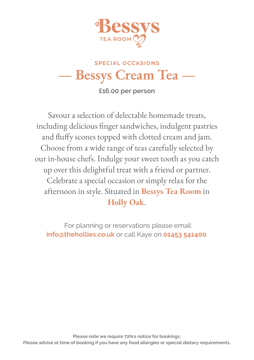

# **SPECIAL OCCASIONS — Bessys Cream Tea —**

**£16.00 per person**

Savour a selection of delectable homemade treats, including delicious finger sandwiches, indulgent pastries and fluffy scones topped with clotted cream and jam. Choose from a wide range of teas carefully selected by our in-house chefs. Indulge your sweet tooth as you catch up over this delightful treat with a friend or partner. Celebrate a special occasion or simply relax for the afternoon in style. Situated in **Bessys Tea Room** in **Holly Oak**.

 For planning or reservations please email **info@thehollies.co.uk** or call Kaye on **01453 541400**.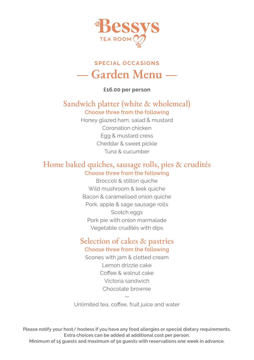

# **SPECIAL OCCASIONS — Garden Menu —**

**£16.00 per person**

## Sandwich platter (white & wholemeal) **Choose three from the following**

Honey glazed ham, salad & mustard Coronation chicken Egg & mustard cress Cheddar & sweet pickle Tuna & cucumber

## Home baked quiches, sausage rolls, pies & crudités **Choose three from the following**

Broccoli & stilton quiche Wild mushroom & leek quiche Bacon & caramelised onion quiche Pork, apple & sage sausage rolls Scotch eggs Pork pie with onion marmalade Vegetable crudités with dips

## Selection of cakes & pastries **Choose three from the following**

Scones with jam & clotted cream Lemon drizzle cake Coffee & walnut cake Victoria sandwich Chocolate brownie

— Unlimited tea, coffee, fruit juice and water

Please notify your host/ hostess if you have any food allergies or special dietary requirements. **Extra choices can be added at additional cost per person.**

**Minimum of 15 guests and maximum of 50 guests with reservations one week in advance.**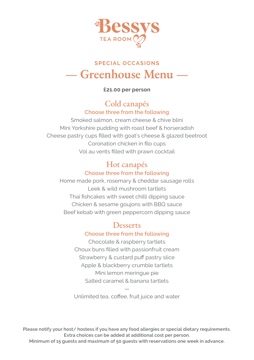

# **SPECIAL OCCASIONS — Greenhouse Menu —**

### **£21.00 per person**

### Cold canapés **Choose three from the following**

Smoked salmon, cream cheese & chive blini Mini Yorkshire pudding with roast beef & horseradish Cheese pastry cups filled with goat's cheese & glazed beetroot Coronation chicken in filo cups Vol au vents filled with prawn cocktail

### Hot canapés **Choose three from the following**

Home made pork, rosemary & cheddar sausage rolls Leek & wild mushroom tartlets Thai fishcakes with sweet chilli dipping sauce Chicken & sesame goujons with BBQ sauce Beef kebab with green peppercorn dipping sauce

# **Desserts**

### **Choose three from the following**

Chocolate & raspberry tartlets Choux buns filled with passionfruit cream Strawberry & custard puff pastry slice Apple & blackberry crumble tartlets Mini lemon meringue pie Salted caramel & banana tartlets

— Unlimited tea, coffee, fruit juice and water

Please notify your host/hostess if you have any food allergies or special dietary requirements. **Extra choices can be added at additional cost per person.**

**Minimum of 15 guests and maximum of 50 guests with reservations one week in advance.**